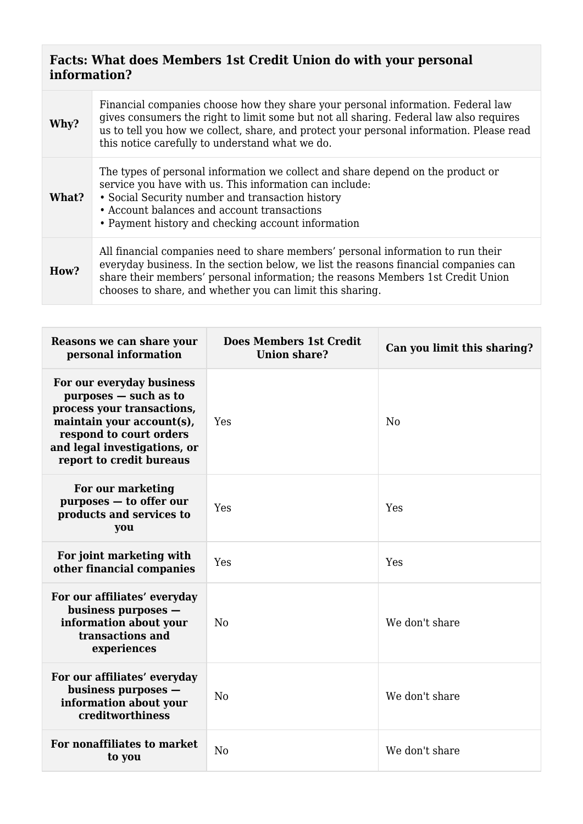## **Facts: What does Members 1st Credit Union do with your personal information?**

| Why?  | Financial companies choose how they share your personal information. Federal law<br>gives consumers the right to limit some but not all sharing. Federal law also requires<br>us to tell you how we collect, share, and protect your personal information. Please read<br>this notice carefully to understand what we do. |
|-------|---------------------------------------------------------------------------------------------------------------------------------------------------------------------------------------------------------------------------------------------------------------------------------------------------------------------------|
| What? | The types of personal information we collect and share depend on the product or<br>service you have with us. This information can include:<br>• Social Security number and transaction history<br>• Account balances and account transactions<br>• Payment history and checking account information                       |
| How?  | All financial companies need to share members' personal information to run their<br>everyday business. In the section below, we list the reasons financial companies can<br>share their members' personal information; the reasons Members 1st Credit Union<br>chooses to share, and whether you can limit this sharing.  |

| Reasons we can share your<br>personal information                                                                                                                                                    | <b>Does Members 1st Credit</b><br><b>Union share?</b> | Can you limit this sharing? |
|------------------------------------------------------------------------------------------------------------------------------------------------------------------------------------------------------|-------------------------------------------------------|-----------------------------|
| For our everyday business<br>purposes - such as to<br>process your transactions,<br>maintain your account(s),<br>respond to court orders<br>and legal investigations, or<br>report to credit bureaus | Yes                                                   | N <sub>0</sub>              |
| For our marketing<br>purposes - to offer our<br>products and services to<br>you                                                                                                                      | Yes                                                   | Yes                         |
| For joint marketing with<br>other financial companies                                                                                                                                                | Yes                                                   | Yes                         |
| For our affiliates' everyday<br>business purposes -<br>information about your<br>transactions and<br>experiences                                                                                     | No                                                    | We don't share              |
| For our affiliates' everyday<br>business purposes -<br>information about your<br>creditworthiness                                                                                                    | No                                                    | We don't share              |
| For nonaffiliates to market<br>to you                                                                                                                                                                | N <sub>0</sub>                                        | We don't share              |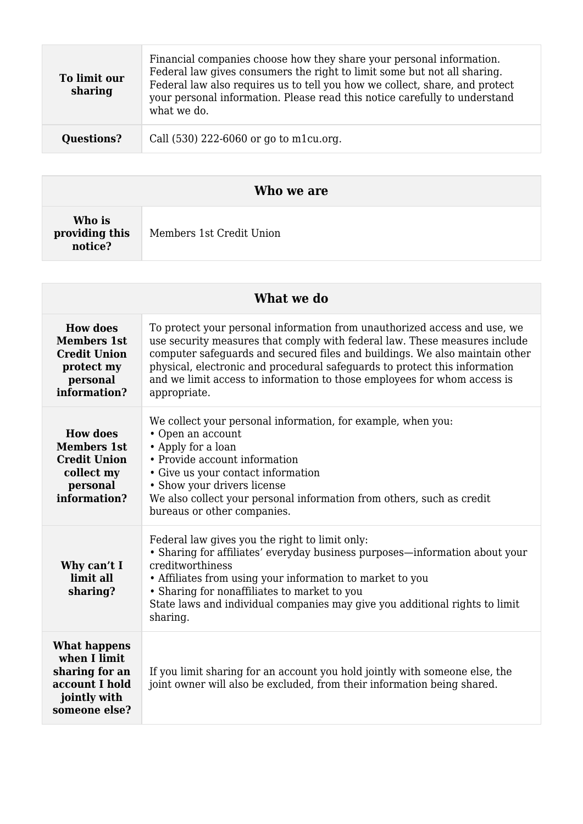| To limit our<br>sharing | Financial companies choose how they share your personal information.<br>Federal law gives consumers the right to limit some but not all sharing.<br>Federal law also requires us to tell you how we collect, share, and protect<br>your personal information. Please read this notice carefully to understand<br>what we do. |
|-------------------------|------------------------------------------------------------------------------------------------------------------------------------------------------------------------------------------------------------------------------------------------------------------------------------------------------------------------------|
| <b>Questions?</b>       | Call (530) 222-6060 or go to m1cu.org.                                                                                                                                                                                                                                                                                       |

| Who we are                          |                          |  |  |
|-------------------------------------|--------------------------|--|--|
| Who is<br>providing this<br>notice? | Members 1st Credit Union |  |  |

| What we do                                                                                                |                                                                                                                                                                                                                                                                                                                                                                                                                  |  |  |  |
|-----------------------------------------------------------------------------------------------------------|------------------------------------------------------------------------------------------------------------------------------------------------------------------------------------------------------------------------------------------------------------------------------------------------------------------------------------------------------------------------------------------------------------------|--|--|--|
| <b>How does</b><br><b>Members 1st</b><br><b>Credit Union</b><br>protect my<br>personal<br>information?    | To protect your personal information from unauthorized access and use, we<br>use security measures that comply with federal law. These measures include<br>computer safeguards and secured files and buildings. We also maintain other<br>physical, electronic and procedural safeguards to protect this information<br>and we limit access to information to those employees for whom access is<br>appropriate. |  |  |  |
| <b>How does</b><br><b>Members 1st</b><br><b>Credit Union</b><br>collect my<br>personal<br>information?    | We collect your personal information, for example, when you:<br>• Open an account<br>• Apply for a loan<br>• Provide account information<br>• Give us your contact information<br>• Show your drivers license<br>We also collect your personal information from others, such as credit<br>bureaus or other companies.                                                                                            |  |  |  |
| Why can't I<br>limit all<br>sharing?                                                                      | Federal law gives you the right to limit only:<br>• Sharing for affiliates' everyday business purposes—information about your<br>creditworthiness<br>• Affiliates from using your information to market to you<br>• Sharing for nonaffiliates to market to you<br>State laws and individual companies may give you additional rights to limit<br>sharing.                                                        |  |  |  |
| <b>What happens</b><br>when I limit.<br>sharing for an<br>account I hold<br>jointly with<br>someone else? | If you limit sharing for an account you hold jointly with someone else, the<br>joint owner will also be excluded, from their information being shared.                                                                                                                                                                                                                                                           |  |  |  |